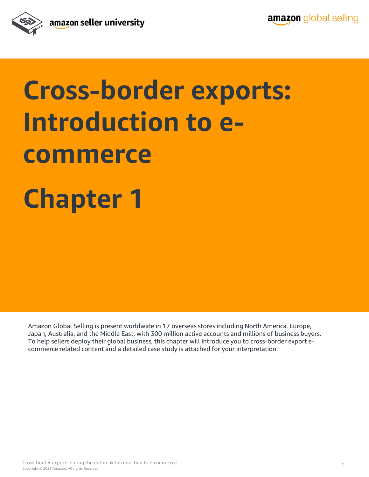

# **Cross-border exports: Introduction to ecommerce Chapter 1**

Amazon Global Selling is present worldwide in 17 overseas stores including North America, Europe, Japan, Australia, and the Middle East, with 300 million active accounts and millions of business buyers. To help sellers deploy their global business, this chapter will introduce you to cross-border export ecommerce related content and a detailed case study is attached for your interpretation.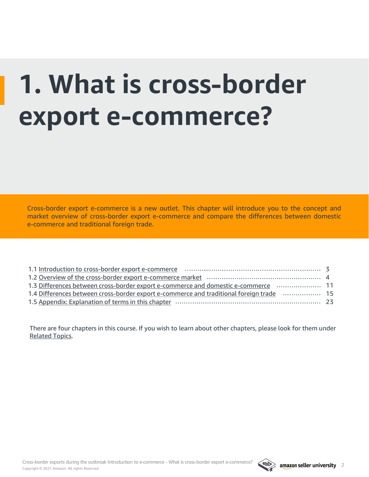# **1. What is cross-border export e-commerce?**

Cross-border export e-commerce is a new outlet. This chapter will introduce you to the concept and market overview of cross-border export e-commerce and compare the differences between domestic e-commerce and traditional foreign trade.

| 11.3 Differences between cross-border export e-commerce and domestic e-commerce                |  |  |  |  |  |
|------------------------------------------------------------------------------------------------|--|--|--|--|--|
| 15. 1.1.4 Differences between cross-border export e-commerce and traditional foreign trade  15 |  |  |  |  |  |
|                                                                                                |  |  |  |  |  |

There are four chapters in this course. If you wish to learn about other chapters, please look for them under [Related Topics.](#page-23-0)

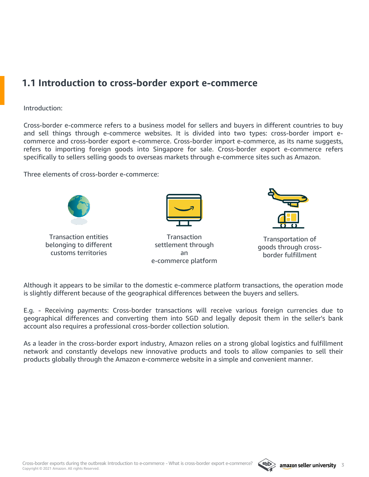### <span id="page-2-0"></span>**1.1 Introduction to cross-border export e-commerce**

#### Introduction:

Cross-border e-commerce refers to a business model for sellers and buyers in different countries to buy and sell things through e-commerce websites. It is divided into two types: cross-border import ecommerce and cross-border export e-commerce. Cross-border import e-commerce, as its name suggests, refers to importing foreign goods into Singapore for sale. Cross-border export e-commerce refers specifically to sellers selling goods to overseas markets through e-commerce sites such as Amazon.

Three elements of cross-border e-commerce:



Transaction entities belonging to different customs territories



**Transaction** settlement through an e-commerce platform



Transportation of goods through crossborder fulfillment

Although it appears to be similar to the domestic e-commerce platform transactions, the operation mode is slightly different because of the geographical differences between the buyers and sellers.

E.g. - Receiving payments: Cross-border transactions will receive various foreign currencies due to geographical differences and converting them into SGD and legally deposit them in the seller's bank account also requires a professional cross-border collection solution.

As a leader in the cross-border export industry, Amazon relies on a strong global logistics and fulfillment network and constantly develops new innovative products and tools to allow companies to sell their products globally through the Amazon e-commerce website in a simple and convenient manner.

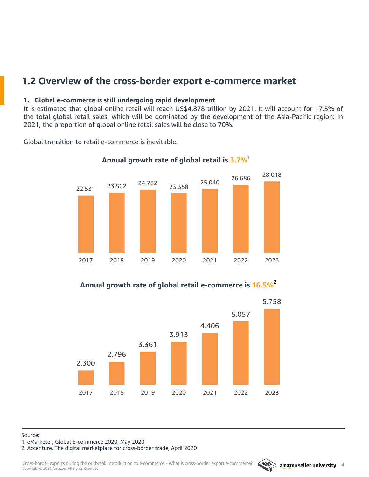## <span id="page-3-0"></span>**1.2 Overview of the cross-border export e-commerce market**

#### **1. Global e-commerce is still undergoing rapid development**

It is estimated that global online retail will reach US\$4.878 trillion by 2021. It will account for 17.5% of the total global retail sales, which will be dominated by the development of the Asia-Pacific region: In 2021, the proportion of global online retail sales will be close to 70%.

Global transition to retail e-commerce is inevitable.



**Annual growth rate of global retail is 3.7%<sup>1</sup>**

**Annual growth rate of global retail e-commerce is 16.5%<sup>2</sup>**



Source:

1. eMarketer, Global E-commerce 2020, May 2020

2. Accenture, The digital marketplace for cross-border trade, April 2020

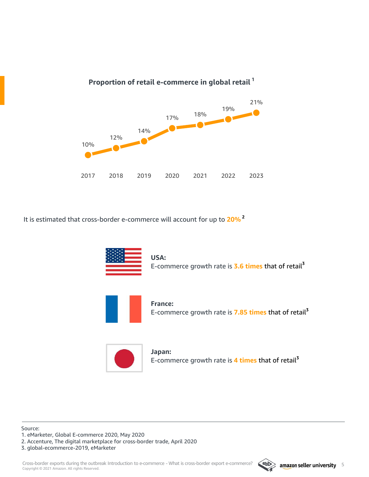

**Proportion of retail e-commerce in global retail <sup>1</sup>**

It is estimated that cross-border e-commerce will account for up to **20% 2**



**USA:** E-commerce growth rate is **3.6 times** that of retail**<sup>3</sup>**



**France:** E-commerce growth rate is **7.85 times** that of retail**<sup>3</sup>**



**Japan:** E-commerce growth rate is **4 times** that of retail**<sup>3</sup>**

Source: 1. eMarketer, Global E-commerce 2020, May 2020

2. Accenture, The digital marketplace for cross-border trade, April 2020

3. global-ecommerce-2019, eMarketer

Copyright © 2021 Amazon. All rights Reserved. Cross-border exports during the outbreak Introduction to e-commerce - What is cross-border export e-commerce? 3 amazon seller university

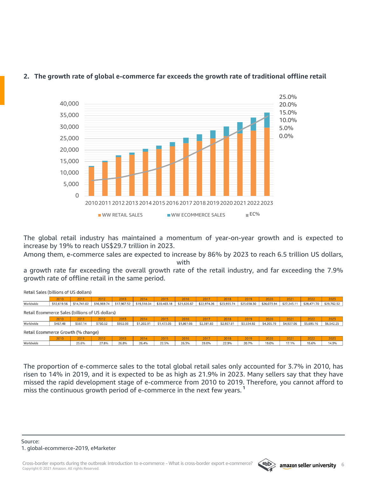

#### **2. The growth rate of global e-commerce far exceeds the growth rate of traditional offline retail**

The global retail industry has maintained a momentum of year-on-year growth and is expected to increase by 19% to reach US\$29.7 trillion in 2023.

Among them, e-commerce sales are expected to increase by 86% by 2023 to reach 6.5 trillion US dollars, with

a growth rate far exceeding the overall growth rate of the retail industry, and far exceeding the 7.9% growth rate of offline retail in the same period.

| Retail Sales (billions of US dollars)           |             |             |             |             |             |             |             |             |             |             |             |             |             |             |
|-------------------------------------------------|-------------|-------------|-------------|-------------|-------------|-------------|-------------|-------------|-------------|-------------|-------------|-------------|-------------|-------------|
|                                                 | 2010        | 2011        | 2012        | 2013        | 2014        | 2015        | 2016        | 2017        | 2018        | 2019        | 2020        | 2021        | 2022        | 2023        |
| Worldwide                                       | \$12,619.56 | \$14,741.02 | \$16,969.74 | \$17,967.52 | \$19,318.04 | \$20,463.18 | \$21,626.67 | \$22,974.26 | \$23,955.74 | \$25,038.30 | \$26,073.94 | \$27,243.11 | \$28,471.70 | \$29,762.52 |
| Retail Ecommerce Sales (billions of US dollars) |             |             |             |             |             |             |             |             |             |             |             |             |             |             |
|                                                 | 2010        | 2011        | 2012        | 2013        | 2014        | 2015        | 2016        | 2017        | 2018        | 2019        | 2020        | 2021        | 2022        | 2023        |
| Worldwide                                       | \$467.48    | \$587.14    | \$750.52    | \$952.03    | \$1,202.91  | \$1,473.05  | \$1,861.06  | \$2,381.83  | \$2,927.81  | \$3,534.92  | \$4,205.78  | \$4,927.06  | \$5,695.16  | \$6,542.25  |
| Retail Ecommerce Growth (% change)              |             |             |             |             |             |             |             |             |             |             |             |             |             |             |
|                                                 | 2010        | 2011        | 2012        | 2013        | 2014        | 2015        | 2016        | 2017        | 2018        | 2019        | 2020        | 2021        | 2022        | 2023        |
| Worldwide                                       |             | 25.6%       | 27.8%       | 26.8%       | 26.4%       | 22.5%       | 26.3%       | 28.0%       | 22.9%       | 20.7%       | 19.0%       | 17.1%       | 15.6%       | 14.9%       |

The proportion of e-commerce sales to the total global retail sales only accounted for 3.7% in 2010, has risen to 14% in 2019, and it is expected to be as high as 21.9% in 2023. Many sellers say that they have missed the rapid development stage of e-commerce from 2010 to 2019. Therefore, you cannot afford to miss the continuous growth period of e-commerce in the next few years. **1**

 $B_1 + B_2$   $C_2$   $C_3$   $D_2$   $D_3$   $D_4$   $D_5$   $D_6$   $D_7$   $D_8$   $D_9$   $D_9$   $D_9$ 

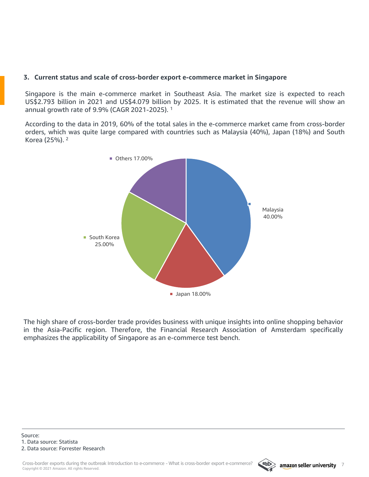#### **3. Current status and scale of cross-border export e-commerce market in Singapore**

Singapore is the main e-commerce market in Southeast Asia. The market size is expected to reach US\$2.793 billion in 2021 and US\$4.079 billion by 2025. It is estimated that the revenue will show an annual growth rate of 9.9% (CAGR 2021-2025). 1

According to the data in 2019, 60% of the total sales in the e-commerce market came from cross-border orders, which was quite large compared with countries such as Malaysia (40%), Japan (18%) and South Korea (25%). 2



The high share of cross-border trade provides business with unique insights into online shopping behavior in the Asia-Pacific region. Therefore, the Financial Research Association of Amsterdam specifically emphasizes the applicability of Singapore as an e-commerce test bench.

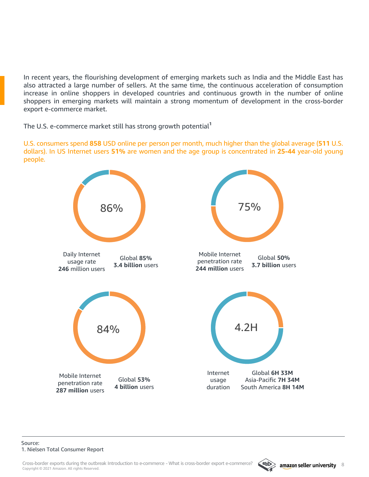In recent years, the flourishing development of emerging markets such as India and the Middle East has also attracted a large number of sellers. At the same time, the continuous acceleration of consumption increase in online shoppers in developed countries and continuous growth in the number of online shoppers in emerging markets will maintain a strong momentum of development in the cross-border export e-commerce market.

The U.S. e-commerce market still has strong growth potential**<sup>1</sup>**

U.S. consumers spend **858** USD online per person per month, much higher than the global average (**511** U.S. dollars). In US Internet users **51%** are women and the age group is concentrated in **25-44** year-old young people.



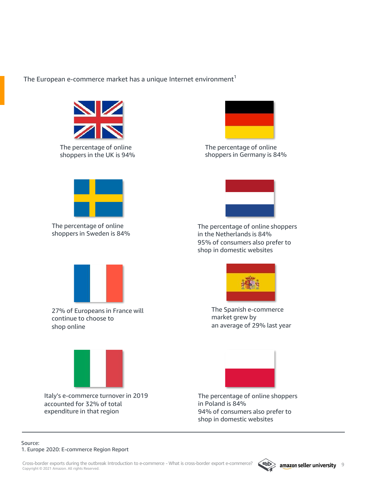The European e-commerce market has a unique Internet environment $<sup>1</sup>$ </sup>



The percentage of online shoppers in the UK is 94%



The percentage of online shoppers in Germany is 84%



The percentage of online shoppers in Sweden is 84%



The percentage of online shoppers in the Netherlands is 84% 95% of consumers also prefer to shop in domestic websites



27% of Europeans in France will continue to choose to shop online



Italy's e-commerce turnover in 2019 accounted for 32% of total expenditure in that region



The Spanish e-commerce market grew by an average of 29% last year



The percentage of online shoppers in Poland is 84%

94% of consumers also prefer to shop in domestic websites

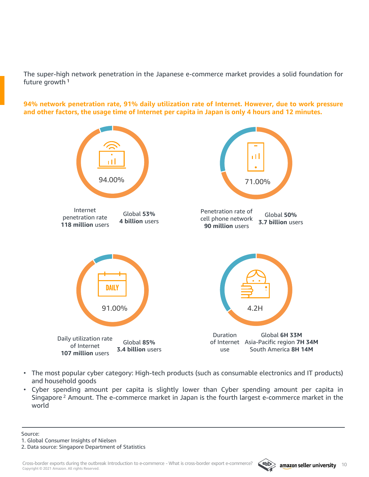The super-high network penetration in the Japanese e-commerce market provides a solid foundation for future growth <sup>1</sup>

**94% network penetration rate, 91% daily utilization rate of Internet. However, due to work pressure** and other factors, the usage time of Internet per capita in Japan is only 4 hours and 12 minutes.



- The most popular cyber category: High-tech products (such as consumable electronics and IT products) and household goods
- Cyber spending amount per capita is slightly lower than Cyber spending amount per capita in Singapore<sup>2</sup> Amount. The e-commerce market in Japan is the fourth largest e-commerce market in the world

Source:

1. Global Consumer Insights of Nielsen

2. Data source: Singapore Department of Statistics

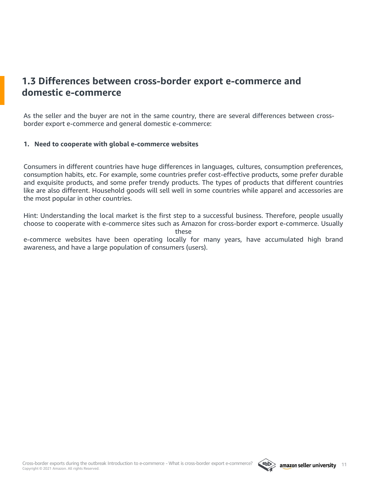## <span id="page-10-0"></span>**1.3 Differences between cross-border export e-commerce and domestic e-commerce**

As the seller and the buyer are not in the same country, there are several differences between crossborder export e-commerce and general domestic e-commerce:

#### **1. Need to cooperate with global e-commerce websites**

Consumers in different countries have huge differences in languages, cultures, consumption preferences, consumption habits, etc. For example, some countries prefer cost-effective products, some prefer durable and exquisite products, and some prefer trendy products. The types of products that different countries like are also different. Household goods will sell well in some countries while apparel and accessories are the most popular in other countries.

Hint: Understanding the local market is the first step to a successful business. Therefore, people usually choose to cooperate with e-commerce sites such as Amazon for cross-border export e-commerce. Usually these

e-commerce websites have been operating locally for many years, have accumulated high brand awareness, and have a large population of consumers (users).

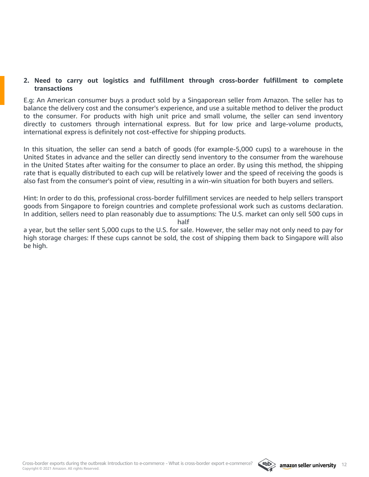#### **2. Need to carry out logistics and fulfillment through cross-border fulfillment to complete transactions**

E.g: An American consumer buys a product sold by a Singaporean seller from Amazon. The seller has to balance the delivery cost and the consumer's experience, and use a suitable method to deliver the product to the consumer. For products with high unit price and small volume, the seller can send inventory directly to customers through international express. But for low price and large-volume products, international express is definitely not cost-effective for shipping products.

In this situation, the seller can send a batch of goods (for example-5,000 cups) to a warehouse in the United States in advance and the seller can directly send inventory to the consumer from the warehouse in the United States after waiting for the consumer to place an order. By using this method, the shipping rate that is equally distributed to each cup will be relatively lower and the speed of receiving the goods is also fast from the consumer's point of view, resulting in a win-win situation for both buyers and sellers.

Hint: In order to do this, professional cross-border fulfillment services are needed to help sellers transport goods from Singapore to foreign countries and complete professional work such as customs declaration. In addition, sellers need to plan reasonably due to assumptions: The U.S. market can only sell 500 cups in

half

a year, but the seller sent 5,000 cups to the U.S. for sale. However, the seller may not only need to pay for high storage charges: If these cups cannot be sold, the cost of shipping them back to Singapore will also be high.

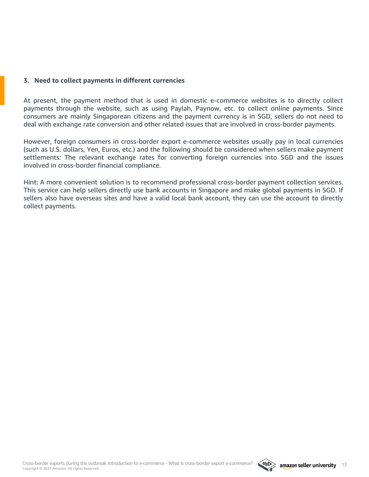#### **3. Need to collect payments in different currencies**

At present, the payment method that is used in domestic e-commerce websites is to directly collect payments through the website, such as using Paylah, Paynow, etc. to collect online payments. Since consumers are mainly Singaporean citizens and the payment currency is in SGD, sellers do not need to deal with exchange rate conversion and other related issues that are involved in cross-border payments.

However, foreign consumers in cross-border export e-commerce websites usually pay in local currencies (such as U.S. dollars, Yen, Euros, etc.) and the following should be considered when sellers make payment settlements: The relevant exchange rates for converting foreign currencies into SGD and the issues involved in cross-border financial compliance.

Hint: A more convenient solution is to recommend professional cross-border payment collection services. This service can help sellers directly use bank accounts in Singapore and make global payments in SGD. If sellers also have overseas sites and have a valid local bank account, they can use the account to directly collect payments.

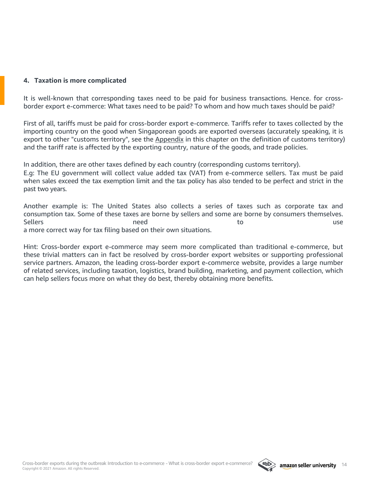#### **4. Taxation is more complicated**

It is well-known that corresponding taxes need to be paid for business transactions. Hence. for crossborder export e-commerce: What taxes need to be paid? To whom and how much taxes should be paid?

First of all, tariffs must be paid for cross-border export e-commerce. Tariffs refer to taxes collected by the importing country on the good when Singaporean goods are exported overseas (accurately speaking, it is export to other "customs territory", see the [Appendix](#page-22-0) in this chapter on the definition of customs territory) and the tariff rate is affected by the exporting country, nature of the goods, and trade policies.

In addition, there are other taxes defined by each country (corresponding customs territory). E.g: The EU government will collect value added tax (VAT) from e-commerce sellers. Tax must be paid when sales exceed the tax exemption limit and the tax policy has also tended to be perfect and strict in the past two years.

Another example is: The United States also collects a series of taxes such as corporate tax and consumption tax. Some of these taxes are borne by sellers and some are borne by consumers themselves. Sellers and the use of the use of the use of the use of the use of the use of the use of the use of the use of the use of the use of the use of the use of the use of the use of the use of the use of the use of the use of t a more correct way for tax filing based on their own situations.

Hint: Cross-border export e-commerce may seem more complicated than traditional e-commerce, but these trivial matters can in fact be resolved by cross-border export websites or supporting professional service partners. Amazon, the leading cross-border export e-commerce website, provides a large number of related services, including taxation, logistics, brand building, marketing, and payment collection, which can help sellers focus more on what they do best, thereby obtaining more benefits.

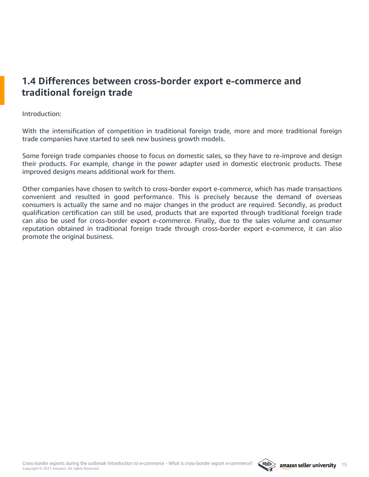## <span id="page-14-0"></span>**1.4 Differences between cross-border export e-commerce and traditional foreign trade**

Introduction:

With the intensification of competition in traditional foreign trade, more and more traditional foreign trade companies have started to seek new business growth models.

Some foreign trade companies choose to focus on domestic sales, so they have to re-improve and design their products. For example, change in the power adapter used in domestic electronic products. These improved designs means additional work for them.

Other companies have chosen to switch to cross-border export e-commerce, which has made transactions convenient and resulted in good performance. This is precisely because the demand of overseas consumers is actually the same and no major changes in the product are required. Secondly, as product qualification certification can still be used, products that are exported through traditional foreign trade can also be used for cross-border export e-commerce. Finally, due to the sales volume and consumer reputation obtained in traditional foreign trade through cross-border export e-commerce, it can also promote the original business.

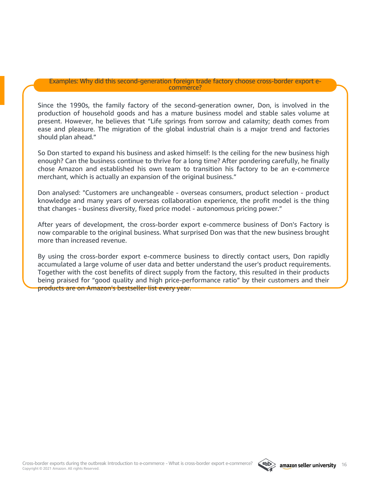#### Examples: Why did this second-generation foreign trade factory choose cross-border export ecommerce?

Since the 1990s, the family factory of the second-generation owner, Don, is involved in the production of household goods and has a mature business model and stable sales volume at present. However, he believes that "Life springs from sorrow and calamity; death comes from ease and pleasure. The migration of the global industrial chain is a major trend and factories should plan ahead."

So Don started to expand his business and asked himself: Is the ceiling for the new business high enough? Can the business continue to thrive for a long time? After pondering carefully, he finally chose Amazon and established his own team to transition his factory to be an e-commerce merchant, which is actually an expansion of the original business."

Don analysed: "Customers are unchangeable - overseas consumers, product selection - product knowledge and many years of overseas collaboration experience, the profit model is the thing that changes - business diversity, fixed price model - autonomous pricing power."

After years of development, the cross-border export e-commerce business of Don's Factory is now comparable to the original business. What surprised Don was that the new business brought more than increased revenue.

By using the cross-border export e-commerce business to directly contact users, Don rapidly accumulated a large volume of user data and better understand the user's product requirements. Together with the cost benefits of direct supply from the factory, this resulted in their products being praised for "good quality and high price-performance ratio" by their customers and their products are on Amazon's bestseller list every year.

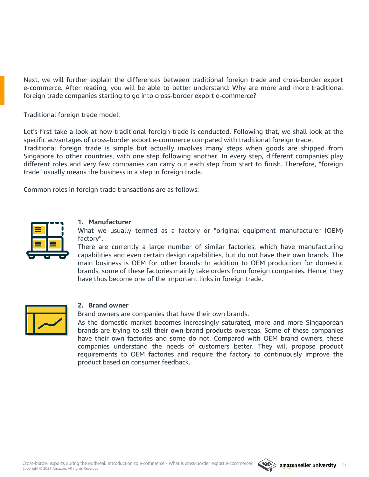Next, we will further explain the differences between traditional foreign trade and cross-border export e-commerce. After reading, you will be able to better understand: Why are more and more traditional foreign trade companies starting to go into cross-border export e-commerce?

Traditional foreign trade model:

Let's first take a look at how traditional foreign trade is conducted. Following that, we shall look at the specific advantages of cross-border export e-commerce compared with traditional foreign trade.

Traditional foreign trade is simple but actually involves many steps when goods are shipped from Singapore to other countries, with one step following another. In every step, different companies play different roles and very few companies can carry out each step from start to finish. Therefore, "foreign trade" usually means the business in a step in foreign trade.

Common roles in foreign trade transactions are as follows:



#### **1. Manufacturer**

What we usually termed as a factory or "original equipment manufacturer (OEM) factory".

There are currently a large number of similar factories, which have manufacturing capabilities and even certain design capabilities, but do not have their own brands. The main business is OEM for other brands: In addition to OEM production for domestic brands, some of these factories mainly take orders from foreign companies. Hence, they have thus become one of the important links in foreign trade.



#### **2. Brand owner**

Brand owners are companies that have their own brands.

As the domestic market becomes increasingly saturated, more and more Singaporean brands are trying to sell their own-brand products overseas. Some of these companies have their own factories and some do not. Compared with OEM brand owners, these companies understand the needs of customers better. They will propose product requirements to OEM factories and require the factory to continuously improve the product based on consumer feedback.

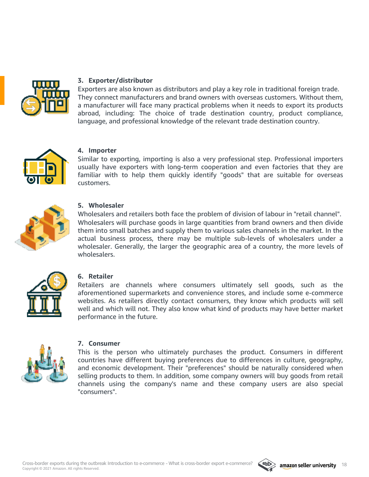

#### **3. Exporter/distributor**

Exporters are also known as distributors and play a key role in traditional foreign trade. They connect manufacturers and brand owners with overseas customers. Without them, a manufacturer will face many practical problems when it needs to export its products abroad, including: The choice of trade destination country, product compliance, language, and professional knowledge of the relevant trade destination country.



#### **4. Importer**

Similar to exporting, importing is also a very professional step. Professional importers usually have exporters with long-term cooperation and even factories that they are familiar with to help them quickly identify "goods" that are suitable for overseas customers.



#### **5. Wholesaler**

Wholesalers and retailers both face the problem of division of labour in "retail channel". Wholesalers will purchase goods in large quantities from brand owners and then divide them into small batches and supply them to various sales channels in the market. In the actual business process, there may be multiple sub-levels of wholesalers under a wholesaler. Generally, the larger the geographic area of a country, the more levels of wholesalers.



#### **6. Retailer**

Retailers are channels where consumers ultimately sell goods, such as the aforementioned supermarkets and convenience stores, and include some e-commerce websites. As retailers directly contact consumers, they know which products will sell well and which will not. They also know what kind of products may have better market performance in the future.



#### **7. Consumer**

This is the person who ultimately purchases the product. Consumers in different countries have different buying preferences due to differences in culture, geography, and economic development. Their "preferences" should be naturally considered when selling products to them. In addition, some company owners will buy goods from retail channels using the company's name and these company users are also special "consumers".

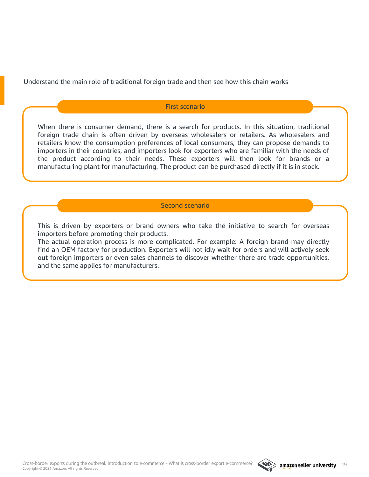Understand the main role of traditional foreign trade and then see how this chain works

#### First scenario

When there is consumer demand, there is a search for products. In this situation, traditional foreign trade chain is often driven by overseas wholesalers or retailers. As wholesalers and retailers know the consumption preferences of local consumers, they can propose demands to importers in their countries, and importers look for exporters who are familiar with the needs of the product according to their needs. These exporters will then look for brands or a manufacturing plant for manufacturing. The product can be purchased directly if it is in stock.

#### Second scenario

This is driven by exporters or brand owners who take the initiative to search for overseas importers before promoting their products.

The actual operation process is more complicated. For example: A foreign brand may directly find an OEM factory for production. Exporters will not idly wait for orders and will actively seek out foreign importers or even sales channels to discover whether there are trade opportunities, and the same applies for manufacturers.

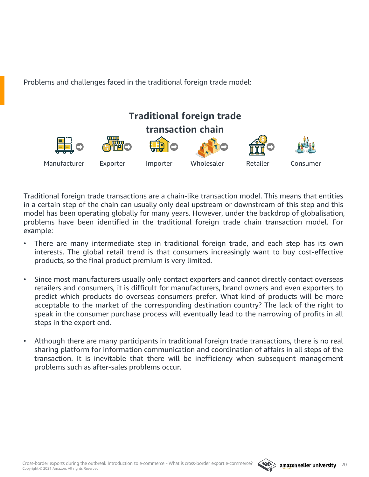Problems and challenges faced in the traditional foreign trade model:



Traditional foreign trade transactions are a chain-like transaction model. This means that entities in a certain step of the chain can usually only deal upstream or downstream of this step and this model has been operating globally for many years. However, under the backdrop of globalisation, problems have been identified in the traditional foreign trade chain transaction model. For example:

- There are many intermediate step in traditional foreign trade, and each step has its own interests. The global retail trend is that consumers increasingly want to buy cost-effective products, so the final product premium is very limited.
- Since most manufacturers usually only contact exporters and cannot directly contact overseas retailers and consumers, it is difficult for manufacturers, brand owners and even exporters to predict which products do overseas consumers prefer. What kind of products will be more acceptable to the market of the corresponding destination country? The lack of the right to speak in the consumer purchase process will eventually lead to the narrowing of profits in all steps in the export end.
- Although there are many participants in traditional foreign trade transactions, there is no real sharing platform for information communication and coordination of affairs in all steps of the transaction. It is inevitable that there will be inefficiency when subsequent management problems such as after-sales problems occur.

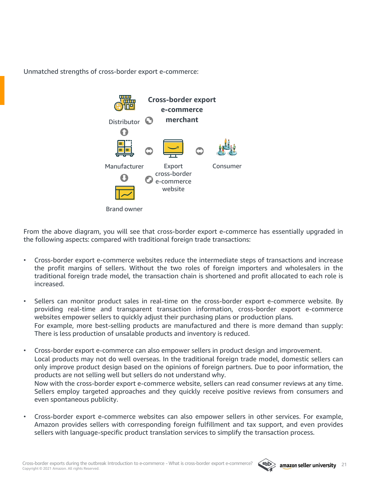Unmatched strengths of cross-border export e-commerce:



Brand owner

From the above diagram, you will see that cross-border export e-commerce has essentially upgraded in the following aspects: compared with traditional foreign trade transactions:

- Cross-border export e-commerce websites reduce the intermediate steps of transactions and increase the profit margins of sellers. Without the two roles of foreign importers and wholesalers in the traditional foreign trade model, the transaction chain is shortened and profit allocated to each role is increased.
- Sellers can monitor product sales in real-time on the cross-border export e-commerce website. By providing real-time and transparent transaction information, cross-border export e-commerce websites empower sellers to quickly adjust their purchasing plans or production plans. For example, more best-selling products are manufactured and there is more demand than supply: There is less production of unsalable products and inventory is reduced.
- Cross-border export e-commerce can also empower sellers in product design and improvement. Local products may not do well overseas. In the traditional foreign trade model, domestic sellers can only improve product design based on the opinions of foreign partners. Due to poor information, the products are not selling well but sellers do not understand why. Now with the cross-border export e-commerce website, sellers can read consumer reviews at any time.

Sellers employ targeted approaches and they quickly receive positive reviews from consumers and even spontaneous publicity.

• Cross-border export e-commerce websites can also empower sellers in other services. For example, Amazon provides sellers with corresponding foreign fulfillment and tax support, and even provides sellers with language-specific product translation services to simplify the transaction process.

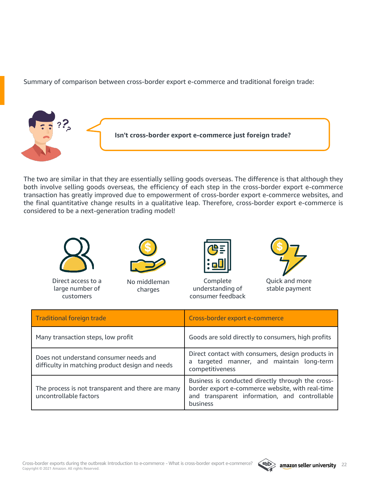Summary of comparison between cross-border export e-commerce and traditional foreign trade:



The two are similar in that they are essentially selling goods overseas. The difference is that although they both involve selling goods overseas, the efficiency of each step in the cross-border export e-commerce transaction has greatly improved due to empowerment of cross-border export e-commerce websites, and the final quantitative change results in a qualitative leap. Therefore, cross-border export e-commerce is considered to be a next-generation trading model!



Direct access to a large number of customers



No middleman charges



Complete understanding of consumer feedback



Quick and more stable payment

| <b>Traditional foreign trade</b>                                                          | Cross-border export e-commerce                                                                                                                                     |
|-------------------------------------------------------------------------------------------|--------------------------------------------------------------------------------------------------------------------------------------------------------------------|
| Many transaction steps, low profit                                                        | Goods are sold directly to consumers, high profits                                                                                                                 |
| Does not understand consumer needs and<br>difficulty in matching product design and needs | Direct contact with consumers, design products in<br>a targeted manner, and maintain long-term<br>competitiveness                                                  |
| The process is not transparent and there are many<br>uncontrollable factors               | Business is conducted directly through the cross-<br>border export e-commerce website, with real-time<br>and transparent information, and controllable<br>business |

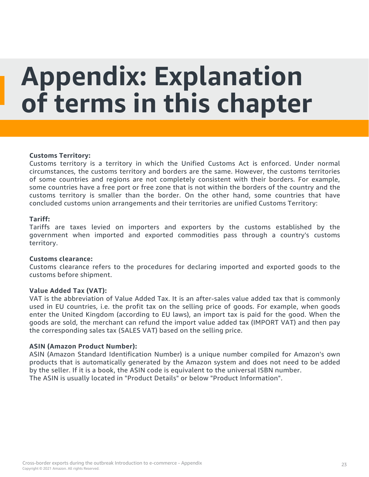## <span id="page-22-0"></span>**Appendix: Explanation of terms in this chapter**

#### **Customs Territory:**

Customs territory is a territory in which the Unified Customs Act is enforced. Under normal circumstances, the customs territory and borders are the same. However, the customs territories of some countries and regions are not completely consistent with their borders. For example, some countries have a free port or free zone that is not within the borders of the country and the customs territory is smaller than the border. On the other hand, some countries that have concluded customs union arrangements and their territories are unified Customs Territory:

#### **Tariff:**

Tariffs are taxes levied on importers and exporters by the customs established by the government when imported and exported commodities pass through a country's customs territory.

#### **Customs clearance:**

Customs clearance refers to the procedures for declaring imported and exported goods to the customs before shipment.

#### **Value Added Tax (VAT):**

VAT is the abbreviation of Value Added Tax. It is an after-sales value added tax that is commonly used in EU countries, i.e. the profit tax on the selling price of goods. For example, when goods enter the United Kingdom (according to EU laws), an import tax is paid for the good. When the goods are sold, the merchant can refund the import value added tax (IMPORT VAT) and then pay the corresponding sales tax (SALES VAT) based on the selling price.

#### **ASIN (Amazon Product Number):**

ASIN (Amazon Standard Identification Number) is a unique number compiled for Amazon's own products that is automatically generated by the Amazon system and does not need to be added by the seller. If it is a book, the ASIN code is equivalent to the universal ISBN number. The ASIN is usually located in "Product Details" or below "Product Information".